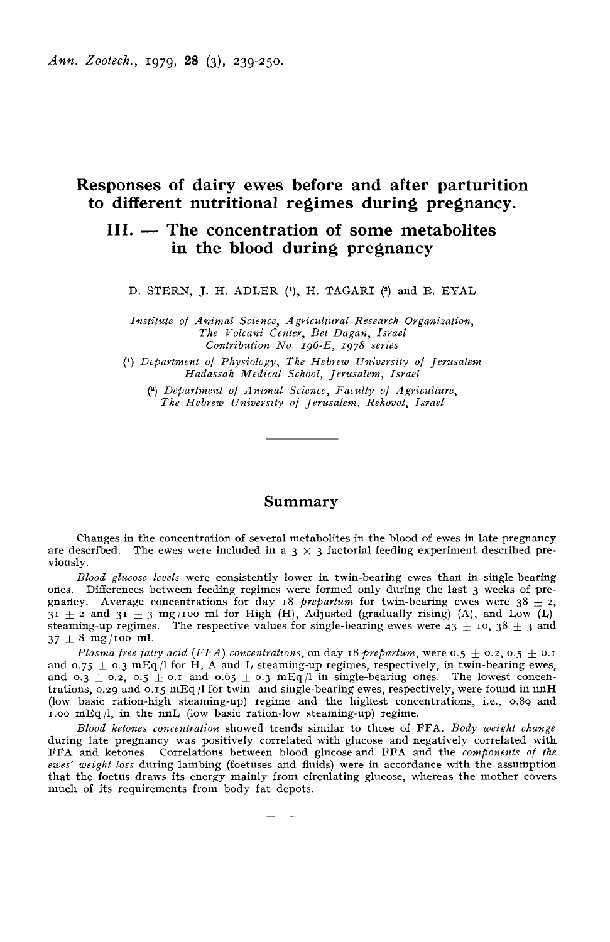# Responses of dairy ewes before and after parturition to different nutritional regimes during pregnancy.

# III. — The concentration of some metabolites in the blood during pregnancy

D. STERN, J. H. ADLER (1), H. TAGARI (2) and E. EVAL

Institute of Animal Science, Agricultural Research Organization, The Volcani Center, Bet Dagan, Israel<br>Contribution No. 196-E, 1978 series H. ADLER (<sup>1</sup>), H. TAGARI (<sup>2</sup>)<br>nimal Science, Agricultural Research<br>he Volcani Center, Bet Dagan, Isra<br>Contribution No. 196-E, 1978 series<br>of Physiology, The Hebrew Universi

(') Depavtment of Physiology, The Hebrew University of Jerusalem Hadassah Medical School, Jerusalem, Israel

(1) Depavtment of Animal Science, Faculty of Agriculture, The Hebrew University of Jevusalem, Rehovot, Israel

### Summary

Changes in the concentration of several metabolites in the blood of ewes in late pregnancy are described. The ewes were included in a  $3 \times 3$  factorial feeding experiment described previously.

Blood glucose levels were consistently lower in twin-bearing ewes than in single-bearing ones. Differences between feeding regimes were formed only during the last 3 weeks of pre-*Blood glucose levels* were consistently lower in twin-bearing ewes than in single-bearing<br>ones. Differences between feeding regimes were formed only during the last 3 weeks of pre-<br>gnanty. Average concentrations for day steaming-up regimes. The respective values for single-bearing ewes were  $43 \pm 10$ ,  $38 \pm 3$  and  $37 \pm 8$  mg/100 ml.<br>*Plasma free fatty acid (FFA) concentrations*, on day 18 *prepartum*, were  $0.5 \pm 0.2$ ,  $0.5 \pm 0.1$ 

and 0.75  $\pm$  0.3  $mEq/1$  for H, A and L steaming-up regimes, respectively, in twin-bearing ewes, and  $0.3 \pm 0.2$ ,  $0.5 \pm 0.1$  and  $0.65 \pm 0.3$  mEq  $/l$  in single-bearing ones. The lowest concentrations, 0.29 and 0.15 mEq  $/l$  for twin- and single-bearing ewes, respectively, were found in nnH (low basic ration-high stea trations, 0.29 and 0.15 mEq /l for twin- and single-bearing ewes, respectively, were found in  $mH$ 1.00  $mEq/l$ , in the nnL (low basic ration-low steaming-up) regime.

Blood ketones concentration showed trends similar to those of FFA. Body weight change during late pregnancy was positively correlated with glucose and negatively correlated with FFA and ketones. Correlations between blood glucose and FFA and the components of the ewes' weight loss during lambing (foetuses and fluids) were in accordance with the assumption that the foetus draws its energy mainly from circulating glucose, whereas the mother covers much of its requirements from body fat depots.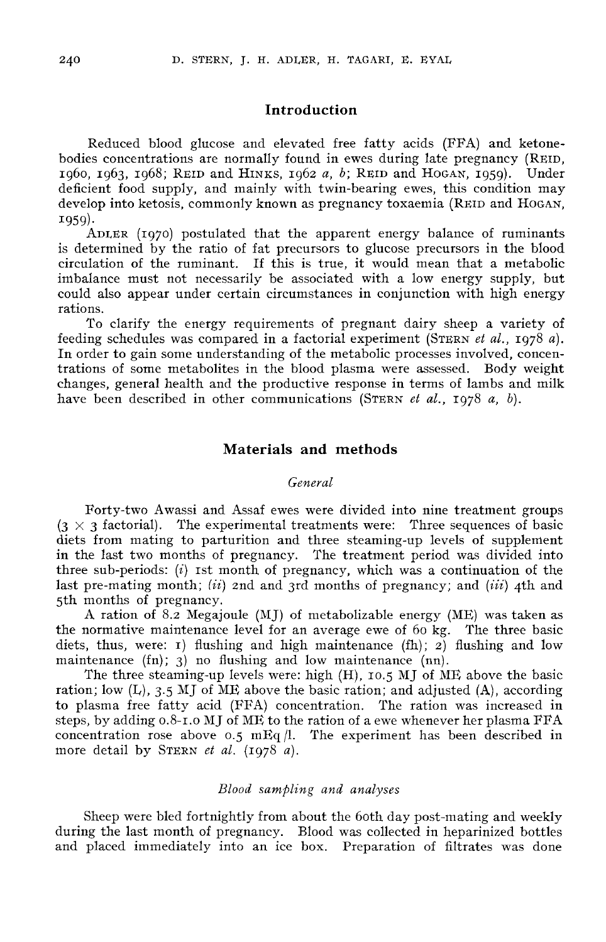# Introduction

Reduced blood glucose and elevated free fatty acids (FFA) and ketonebodies concentrations are normally found in ewes during late pregnancy (REID, 1969, 1968; REID and HINKS, 1962 a, b; REID and HOGAN, 1959). Under Reduced blood glucose and elevated free fatty acids (FFA) and ketone-<br>bodies concentrations are normally found in ewes during late pregnancy (REID,<br>1960, 1963, 1968; REID and HINKS, 1962 a, b; REID and HOGAN, 1959). Under<br> 1960, 1963, 1968; REID and HINKS, 1962 *a*, *b*; REID and HOGAN, 1959). Under<br>deficient food supply, and mainly with twin-bearing ewes, this condition may<br>develop into ketosis, commonly known as pregnancy toxaemia (REID an 1959). develop into ketosis, commonly known as pregnancy toxaemia (REID and HOGAN, 1959).<br>ADLER (1970) postulated that the apparent energy balance of ruminants

is determined by the ratio of fat precursors to glucose precursors in the blood circulation of the ruminant. If this is true, it would mean that a metabolic imbalance must not necessarily be associated with a low energy supply, but could also appear under certain circumstances in conjunction with high energy rations.

To clarify the energy requirements of pregnant dairy sheep a variety of<br>feeding schedules was compared in a factorial experiment (STERN *et al.*, 1978 *a*).<br>In order to gain some understanding of the metabolic processes in In order to gain some understanding of the metabolic processes involved, concentrations of some metabolites in the blood plasma were assessed. Body weight changes, general health and the productive response in terms of lambs and milk have been described in other communications (STERN *et al.*, 1978 *a*, *b*).

### Materials and methods

### General

Forty-two Awassi and Assaf ewes were divided into nine treatment groups  $(3 \times 3 \text{ factorial})$ . The experimental treatments were: Three sequences of basic Materials and methods<br>
General<br>
Forty-two Awassi and Assaf ewes were divided into nine treatment groups<br>
(3 × 3 factorial). The experimental treatments were: Three sequences of basic<br>
the form mating to parturition and thr in the last two months of pregnancy. The treatment period was divided into three sub-periods: (i) ist month of pregnancy, which was a continuation of the last pre-mating month; (ii) 2nd and 3rd months of pregnancy; and (iii) 4th and 5th months of pregnancy.

A ration of 8.2 Megajoule (MJ) of metabolizable energy (ME) was taken as the normative maintenance level for an average ewe of 60 kg. The three basic diets, thus, were: I) flushing and high maintenance  $(fh)$ ; 2) flushing and low maintenance (fn); 3) no flushing and low maintenance (nn).

The three steaming-up levels were: high (H), 10.5 MJ of ME above the basic ration; low  $(L)$ , 3.5 MJ of ME above the basic ration; and adjusted  $(A)$ , according to plasma free fatty acid (FFA) concentration. The ration was increased in The three steaming-up levels were: high (H), 10.5 MJ of ME above the basic<br>ration; low (L), 3.5 MJ of ME above the basic ration; and adjusted (A), according<br>to plasma free fatty acid (FFA) concentration. The ration was in steps, by adding 0.8-1.0 MJ of ML, to the ration of a ewe whenever her plasma FFA concentration rose above 0.5  $mEq/l$ . The experiment has been described in ration; low (L), 3.5 MJ of ME above the<br>to plasma free fatty acid (FFA) conce<br>steps, by adding 0.8-1.0 MJ of ME to the<br>concentration rose above 0.5 mEq /l.<br>more detail by STERN *et al.* (1978 *a*).

### Blood sampling and analyses

Sheep were bled fortnightly from about the 6oth day post-mating and weekly during the last month of pregnancy. Blood was collected in heparinized bottles and placed immediately into an ice box. Preparation of filtrates was done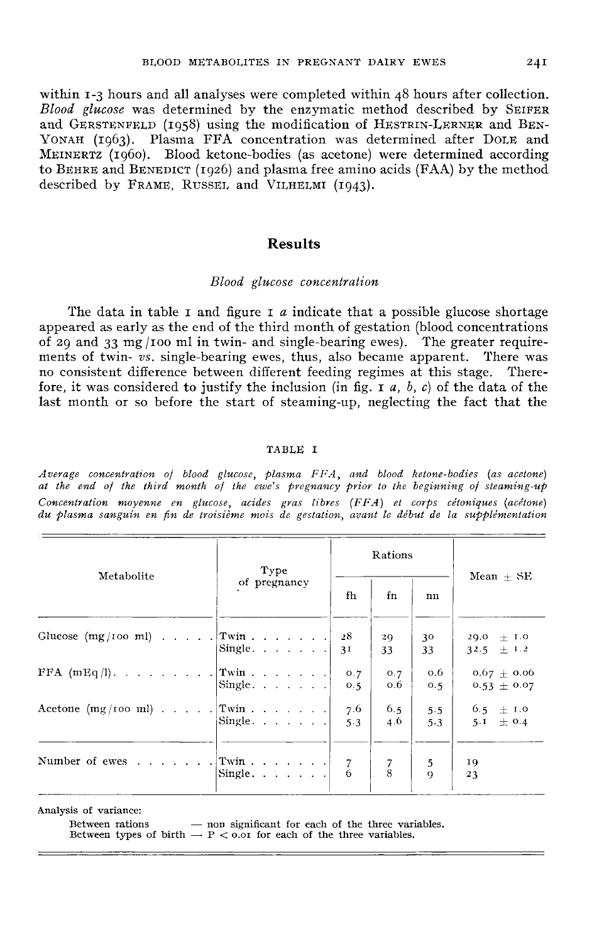within 1-3 hours and all analyses were completed within 48 hours after collection. BLOOD METABOLITES IN PREGNANT DAIRY EWES 24I<br>within 1-3 hours and all analyses were completed within 48 hours after collection.<br>Blood glucose was determined by the enzymatic method described by SEIFER<br>and GERSTENFELD (1058 within 1-3 hours and all analyses were completed within 48 hours after collection.<br> *Blood glucose* was determined by the enzymatic method described by SEIFER<br>
and GERSTENFELD (1958) using the modification of HESTRIN-LERNE Blood glucose was determined by the enzymatic method described by SEIFER<br>and GERSTENFELD (1958) using the modification of HESTRIN-LERNER and BEN-<br>YONAH (1963). Plasma FFA concentration was determined after DOLE and<br>MEINERT YONAH (1963). Plasma FFA concentration was determined after DOLE and MEINERTZ (1960). Blood ketone-bodies (as acetone) were determined according to BEHRE and BENEDICT (1926) and plasma free amino acids (FAA) by the method described by FRAME, RUSSEL, and VILHELMI (1943).

### Results

#### Blood glucose concentration

The data in table I and figure I a indicate that a possible glucose shortage appeared as early as the end of the third month of gestation (blood concentrations of 29 and 33 mg /ioo ml in twin- and single-bearing ewes). The greater requirements of twin- vs. single-bearing ewes, thus, also became apparent. There was no consistent difference between different feeding regimes at this stage. Therefore, it was considered to justify the inclusion (in fig.  $\bar{z}$  a, b, c) of the data of the last month or so before the start of steaming-up, neglecting the fact that the

#### TABLE I

Average concentration of blood glucose, plasma FFA, and blood ketone-bodies (as acetone) at the end of the third month of the ewe's pregnancy prior to the beginning of steaming-up Concentration moyenne en glucose, acides gras libres (FFA) et corps cétoniques (acétone) du plasma sanguin en fin de troisième mois de gestation, avant le début de la supplémentation

|                                | Type                      | Rations                  |                     |                                    |
|--------------------------------|---------------------------|--------------------------|---------------------|------------------------------------|
| Metabolite                     | of pregnancy              | fh<br>fn                 | nn                  | Mean $\pm$ SE                      |
| Glucose $(mg/100 ml)$ Twin     | Single. $\ldots$ $\ldots$ | 28<br>29<br>3I<br>33     | 30<br>33            | $29.0 + I.0$<br>$32.5 \pm 1.2$     |
| FFA $(mEq/1)$ . Twin           | Single                    | O.7<br>O.7<br>0.6<br>0.5 | 0.6<br>0.5          | $0.67 \pm 0.06$<br>$0.53 \pm 0.07$ |
| Acetone $(mg/100 ml)$ Twin     | Single. $\ldots$ $\ldots$ | 7.6<br>6.5<br>4.6<br>5.3 | 5.5<br>5.3          | $6.5 \pm 1.0$<br>5.1 $\pm$ 0.4     |
| Number of ewes $ Twin :  :   $ | Single.                   | $\frac{7}{8}$            | 5<br>$\overline{Q}$ | 19<br>23                           |

Analysis of variance:

Between rations - non significant for each of the three variables.

Between types of birth  $- P < 0.01$  for each of the three variables.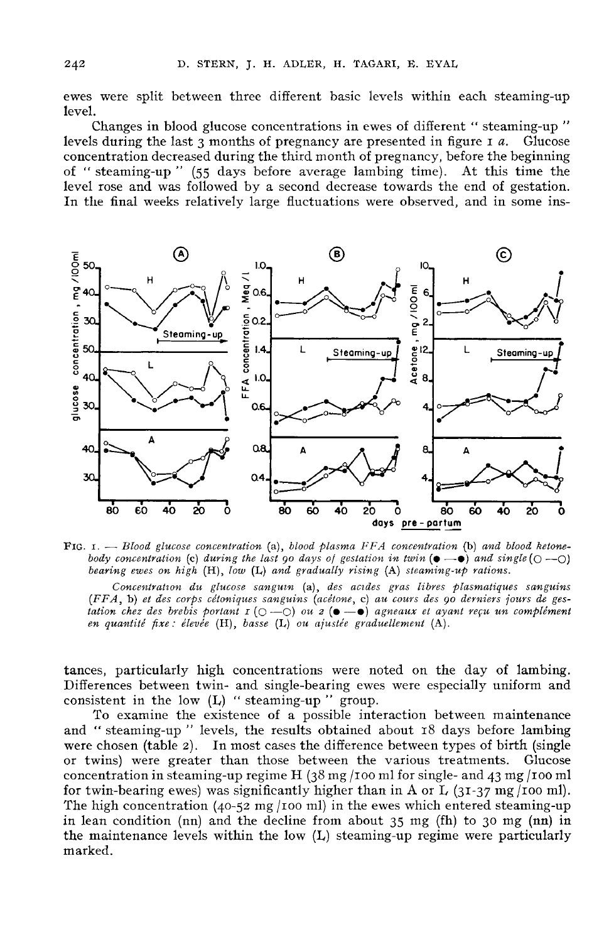ewes were split between three different basic levels within each steaming-up level.

Changes in blood glucose concentrations in ewes of different "steaming-up " levels during the last  $3$  months of pregnancy are presented in figure  $1a$ . Glucose concentration decreased during the third month of pregnancy, before the beginning of "steaming-up " (55 days before average lambing time). At this time the level rose and was followed by a second decrease towards the end of gestation. In the final weeks relatively large fluctuations were observed, and in some ins-



FIG.  $I. - Blood glucose concentration (a), blood plasma FFA concentration (b) and blood ketone$ body concentration (c) during the last 90 days of gestation in twin  $(\bullet - \bullet)$  and single  $(\circ - \circ)$ bearing ewes on high  $(H)$ , low  $(L)$  and gradually rising  $(A)$  steaming-up rations.

Concentration du glucose sanguin (a), des acides gras libres plasmatiques sanguins (FFA, b) et des corps cétoniques sanguins (acétone, c) au cours des 90 derniers jours de gestation chez des brebis portant  $I(\bigcirc -\bigcirc)$  ou  $z(\bullet -\bullet)$  agneaux et ayant reçu un complément en quantité fixe : élevée (H), basse (L) ou ajustée graduellement (A).

tances, particularly high concentrations were noted on the day of lambing. Differences between twin- and single-bearing ewes were especially uniform and consistent in the low  $(L)$  "steaming-up " group.

To examine the existence of a possible interaction between maintenance and "steaming-up" levels, the results obtained about 18 days before lambing<br>were chosen (table 2). In most cases the difference between types of birth (single<br>or twins) were greater than those between the various treatment or twins) were greater than those between the various treatments. Glucose concentration in steaming-up regime H  $(38 \text{ mg}/100 \text{ m})$  for single- and 43 mg/100 ml<br>for twin-bearing ewes) was significantly higher than in A or concentration in steaming-up regime H  $(38 \text{ mg}/100 \text{ m})$  for single- and 43 mg/100 ml).<br>for twin-bearing ewes) was significantly higher than in A or L  $(31-37 \text{ mg}/100 \text{ m})$ .<br>The high concentration  $(40-52 \text{ mg}/100 \text{ m})$  in in lean condition (nn) and the decline from about 35 mg (fh) to 30 mg (nn) in the maintenance levels within the low (L) steaming-up regime were particularly marked.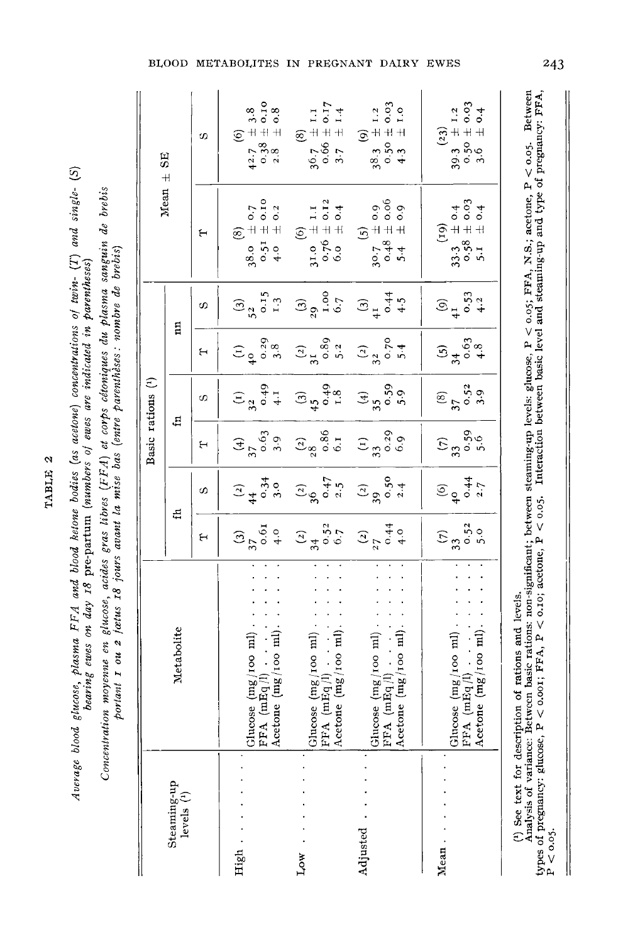| J<br>ì      |
|-------------|
| Ú<br>Ľ<br>Ī |
| í<br>ï      |

Average blood glucose, plasma FFA and blood ketone bodies (as acetone) concentrations of twin- (T) and single- (S) bearing ewes on day 18 pre-partum (numbers of ewes are indicated in parentheses)

Concentration moyenne en glucose, acides gras libres (FFA) et corps cétoniques du plasma sanguin de brebis<br>portant 1 ou 2 feztus 18 jours avant la mise bas (entre parenthèses : nombre de brebis)

| $\overline{\mathbf{B}}$ |                                      | တ | (6)<br>$+3.8$<br>$+1.0.10$<br>$+1.0.8$<br>$42.7$<br>0.38                                                            | (8)<br>$36.7 \pm 1.1$<br>$0.66 \pm 0.17$<br>$0.7 \pm 1.4$<br>$3.7 \pm 1.4$      | (9)<br>38.3 $\pm$ 1.2<br>0.50 $\pm$ 0.03<br>4.3 $\pm$ 1.0                             | $39.3$ $\pm$ 1.2<br>$3.5$ $\pm$ 1.2<br>$0.50 \pm 0.03$<br>$3.6$ $\pm$ 0.4                        |
|-------------------------|--------------------------------------|---|---------------------------------------------------------------------------------------------------------------------|---------------------------------------------------------------------------------|---------------------------------------------------------------------------------------|--------------------------------------------------------------------------------------------------|
| Mean $\pm$              |                                      | ۴ | (8)<br>38.0 $\pm$ 0.7<br>0.51 $\pm$ 0.10<br>4.0 $\pm$ 0.2                                                           | (6)<br>$31.0 \pm 1.1$<br>$0.76 \pm 0.12$<br>$6.0 \pm 0.4$                       | (5)<br>30.7 ± 0.9<br>0.48 ± 0.06<br>0.06 ± 0.06                                       | (19)<br>33.3 $\pm$ 0.4<br>0.58 $\pm$ 0.03<br>5.1 $\pm$ 0.4                                       |
|                         |                                      | ω | $52 \n0.15$<br>0.15                                                                                                 | (3)<br>$29,000$<br>$1,000$<br>$0.7$                                             | $\begin{array}{c} 3 \ 3 \end{array}$<br>$\begin{array}{c} 4.5 \\ + .5 \end{array}$    | $(9)$<br>$41$<br>$6.53$<br>$4.2$                                                                 |
|                         | $\Xi$                                | ٣ | $(1)$<br>$40.29$<br>$3.8$                                                                                           | $\begin{array}{c} (2) \\ 31 \ 0.89 \\ 5.2 \end{array}$                          | $\begin{array}{c} (2) \\ 32 \ 0.70 \\ 5.4 \end{array}$                                | 5, 3, 6, 3, 4, 6, 3                                                                              |
|                         |                                      | Φ | $\begin{array}{c} (1) \\ 32 \ 0.49 \\ +1 \end{array}$                                                               | (3)<br>45<br>0.49<br>1.8                                                        | $(4)$<br>35.59<br>5.9                                                                 | $\frac{1}{37}$<br>$\frac{5}{3}$<br>$\frac{5}{3}$<br>$\frac{3}{9}$                                |
| Basic rations (1)       | 법                                    | 1 | $\frac{1}{37}$<br>$0.63$<br>$3.9$                                                                                   | $\frac{(2)}{28}\atop{6.1}^{(2)}$                                                | $\frac{1}{3}$<br>33<br>6.39<br>6.9                                                    | $\frac{1}{3}$<br>$\frac{59}{50}$                                                                 |
|                         |                                      | တ | $\frac{2}{4}$<br>$\frac{4}{9}$<br>$\frac{34}{9}$                                                                    | $\frac{(2)}{36}$<br>0.47<br>2.5                                                 | $rac{(2)}{390}$<br>0.50<br>2.4                                                        | $60$<br>$40$<br>$44$<br>$2.7$                                                                    |
|                         | ₽                                    | н | $\frac{37}{370}$<br>$\frac{61}{40}$                                                                                 |                                                                                 | $(2)$<br>34<br>0.52<br>0.7<br>27<br>0.44                                              | $\frac{1}{3}$<br>$\frac{3}{3}$<br>$\frac{5}{3}$<br>$\frac{3}{5}$<br>$\frac{3}{5}$                |
|                         | Metabolite                           |   | $\begin{array}{ l } \text{FFA (mEq /l)} & \ldots \\ \text{Accepted (mg /100 ml)} \end{array}$<br>lucose (mg/100 ml) | Acetone (mg/100 ml)<br>Glucose $(mg/100 \text{ ml})$<br>FFA (mEq <sup>[1]</sup> | Acetone $(mg/100 \text{ ml})$<br>Glucose (mg/100 ml)<br>$\ddot{\cdot}$<br>FFA (mEq/l) | Acetone (mg/100 ml)<br>$\frac{\text{Hence (mg/100 ml)}}{\text{H} \cdot \text{m} \cdot \text{m}}$ |
|                         | Steaming-up<br>levels $\binom{1}{1}$ |   | High                                                                                                                | Low                                                                             | Adjusted                                                                              | Mean.                                                                                            |

(<sup>1</sup>) See text for description of rations and levels.<br>Analysis of variance: Between basic rations: non-significant; between steaming-up levels: glucose, P < 0.05; FFA, N.S.; acetone, P < 0.05. Between<br>types of pregnancy:

BLOOD METABOLITES IN PREGNANT DAIRY EWES

243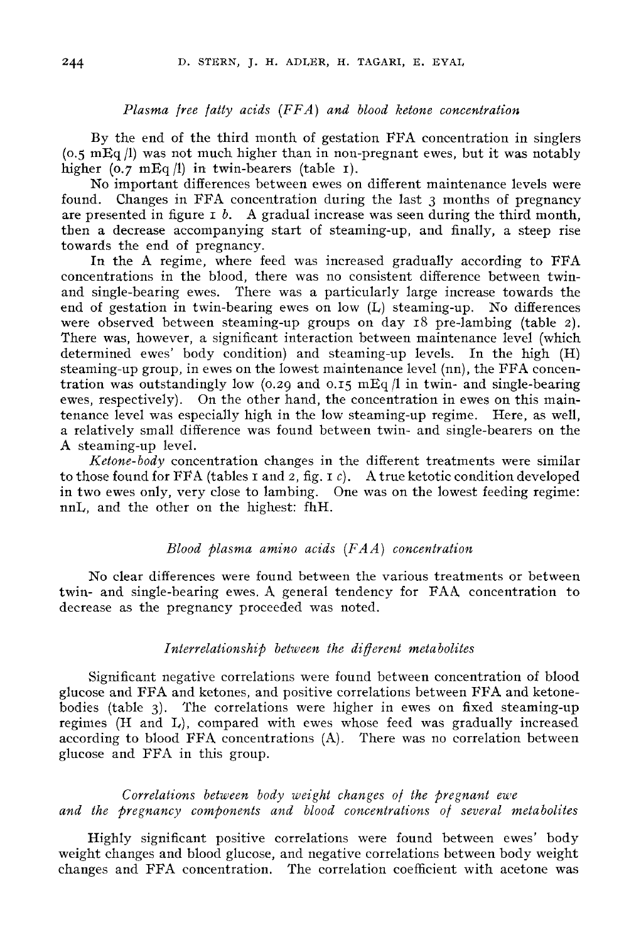### Plasma free fatty acids (FFA) and blood ketone concentration

By the end of the third month of gestation FFA concentration in singlers (0.5 mEq /1) was not much higher than in non-pregnant ewes, but it was notably higher  $(0.7 \text{ mEq} / 1)$  in twin-bearers (table 1).

No important differences between ewes on different maintenance levels were found. Changes in FFA concentration during the last 3 months of pregnancy are presented in figure  $I \, b$ . A gradual increase was seen during the third month, then a decrease accompanying start of steaming-up, and finally, a steep rise towards the end of pregnancy.

In the A regime, where feed was increased gradually according to FFA concentrations in the blood, there was no consistent difference between twinand single-bearing ewes. There was a particularly large increase towards the end of gestation in twin-bearing ewes on low (L) steaming-up. No differences were observed between steaming-up groups on day 18 pre-lambing (table 2). There was, however, a significant interaction between maintenance level (which determined ewes' body condition) and steaming-up levels. In the high (H) steaming-up group, in ewes on the lowest maintenance level (nn), the FFA concentration was outstandingly low (0.29 and 0.15 mEq  $/1$  in twin- and single-bearing ewes, respectively). On the other hand, the concentration in ewes on this maintenance level was especially high in the low steaming-up regime. Here, as well, a relatively small difference was found between twin- and single-bearers on the A steaming-up level.

Ketone-body concentration changes in the different treatments were similar to those found for FFA (tables I and 2, fig. I  $c$ ). A true ketotic condition developed in two ewes only, very close to lambing. One was on the lowest feeding regime: nnL, and the other on the highest: fhH.

### Blood plasma amino acids  $(FAA)$  concentration

No clear differences were found between the various treatments or between twin- and single-bearing ewes. A general tendency for FAA concentration to decrease as the pregnancy proceeded was noted.

#### Interrelationship between the different metabolites

Significant negative correlations were found between concentration of blood glucose and FFA and ketones, and positive correlations between FFA and ketonebodies (table 3). The correlations were higher in ewes on fixed steaming-up regimes (H and L), compared with ewes whose feed was gradually increased according to blood FFA concentrations (A). There was no correlation between glucose and FFA in this group.

Correlations between body weight changes of the pregnant ewe and the pregnancy components and blood concentrations of several metabolites

Highly significant positive correlations were found between ewes' body weight changes and blood glucose, and negative correlations between body weight changes and FFA concentration. The correlation coefficient with acetone was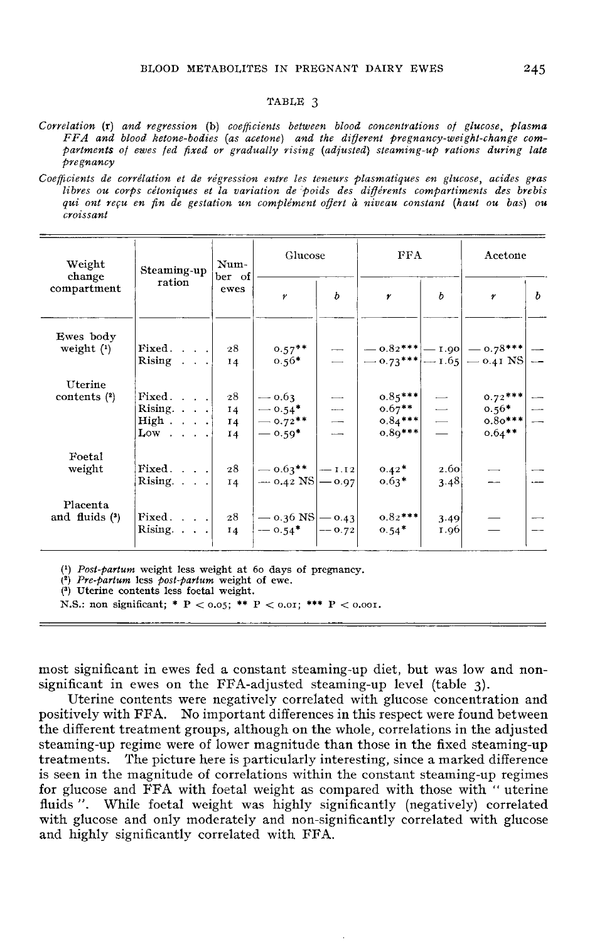#### TABLE 3

Correlation (r) and regression (b) coefficients between blood concentrations of glucose, plasma FFA and blood ketone-bodies (as acetone) and the different pregnancy-weight-change compartments of ewes fed fixed or gradually rising (adjusted) steaming-up rations during late pregnancy

Coefficients de corrélation et de régression entre les teneurs plasmatiques en glucose, acides gras libres ou corps cétoniques et la variation de poids des différents compartiments des brebis qui ont reçu en fin de gestation un complément offert à niveau constant (haut ou bas) ou croissant

| Weight<br>Steaming-up<br>change |                                                                                           | Num-<br>ber of                   | Glucose                                      |               | FFA                                                                                                                                                  |                                                   | Acetone                                        |   |
|---------------------------------|-------------------------------------------------------------------------------------------|----------------------------------|----------------------------------------------|---------------|------------------------------------------------------------------------------------------------------------------------------------------------------|---------------------------------------------------|------------------------------------------------|---|
| compartment                     | ration                                                                                    | ewes                             | $\pmb{\gamma}$                               | b             | $\boldsymbol{r}$                                                                                                                                     | b                                                 | $\pmb{\gamma}$                                 | b |
| Ewes body<br>weight $(1)$       | Fixed.<br>Rising $\ldots$                                                                 | 28<br>14                         | $0.57***$<br>$0.56*$                         |               | $\begin{array}{c c c c c} \hline \begin{array}{c} & - & 0.82*** & - & 1.90 \\ - & 0.73*** & - & 1.65 & - & 0.41 & \text{NS} \end{array} \end{array}$ |                                                   |                                                |   |
| Uterine<br>contents $(2)$       | Fixed. $\ldots$ .<br>Rising. $\ldots$<br>High $\ldots$ .<br>$Low \cdot \cdot \cdot \cdot$ | 28<br>14<br>14<br>I <sub>4</sub> | $-0.63$<br>$-0.54*$<br>$-0.72**$<br>$-0.59*$ | $\frac{-}{1}$ | $0.85***$<br>$0.67***$<br>$0.84***$<br>$0.89***$                                                                                                     | $\begin{array}{c} \square \\ \square \end{array}$ | $0.72***$<br>$0.56*$<br>$0.80***$<br>$0.64***$ |   |
| Foetal<br>weight                | Fixed.<br>Rising. $\ldots$                                                                | 28<br>I4                         | $-$ 0.63** $ -1.12 $<br>$-$ 0.42 NS $-$ 0.97 |               | $0.42*$<br>$0.63*$                                                                                                                                   | 2.60<br>3.48                                      |                                                |   |
| Placenta<br>and fluids $(3)$    | Fixed. $\ldots$<br>Rising. $\ldots$                                                       | 28<br>14                         | $-$ 0.36 NS $-$ 0.43<br>$-$ 0.54* $ -$ 0.72  |               | $0.82***$<br>$0.54*$                                                                                                                                 | 3.49<br>1.96                                      |                                                |   |

 $(1)$  *Post-partum* weight less weight at 60 days of pregnancy.

 $(2)$  Pre-partum less post-partum weight of ewe.

<sup>(3)</sup> Uterine contents less foetal weight.

N.S.: non significant; \* P < 0.05; \*\* P < 0.01; \*\*\* P < 0.001.

most significant in ewes fed a constant steaming-up diet, but was low and nonsignificant in ewes on the FFA-adjusted steaming-up level (table 3).

Uterine contents were negatively correlated with glucose concentration and positively with FFA. No important differences in this respect were found between the different treatment groups, although on the whole, correlations in the adjusted steaming-up regime were of lower magnitude than those in the fixed steaming-up treatments. The picture here is particularly interesting, since a marked difference is seen in the magnitude of correlations within the constant steaming-up regimes for glucose and FFA with foetal weight as compared with those with "uterine fluids". While foetal weight was highly significantly (negatively) correlated with glucose and only moderately and non-significantly correlated with glucose and highly significantly correlated with FFA.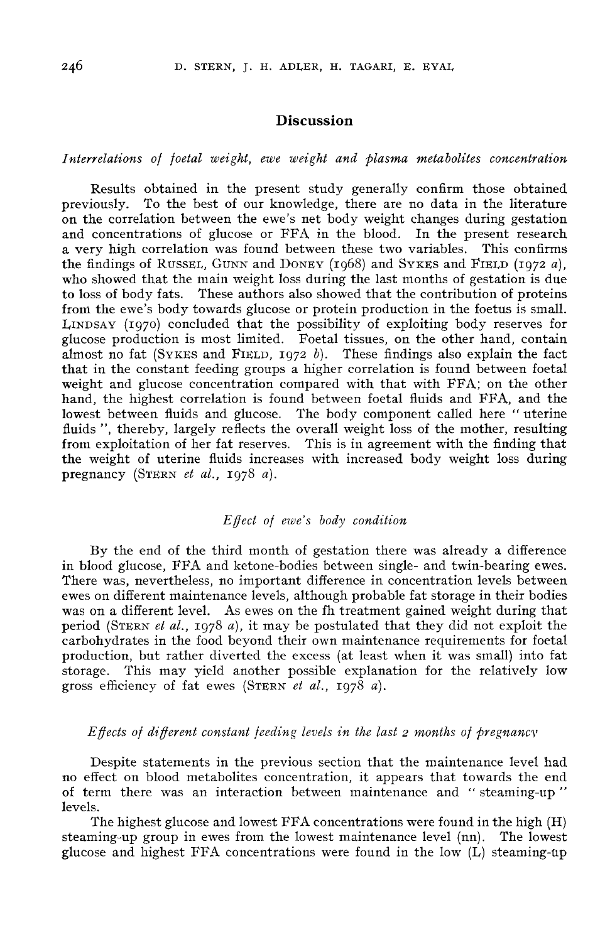## Discussion

### Interrelations of foetal weight, ewe weight and plasma metabolites concentration

Results obtained in the present study generally confirm those obtained<br>previously. To the best of our knowledge, there are no data in the literature To the best of our knowledge, there are no data in the literature on the correlation between the ewe's net body weight changes during gestation and concentrations of glucose or FFA in the blood. In the present research a very high correlation was found between these two variables. This confirms the findings of RUSSEL, GUNN and DONEY (1968) and SYKES and FIELD (1972 a). previously. To the best of our knowledge, there are no data in the interactive<br>on the correlation between the ewe's net body weight changes during gestation<br>and concentrations of glucose or FFA in the blood. In the present who showed that the main weight loss during the last months of gestation is due to loss of body fats. These authors also showed that the contribution of proteins from the ewe's body towards glucose or protein production in the foetus is small.<br>LINDSAY (1970) concluded that the possibility of exploiting body reserves for the findings of RUSSEL, GUNN and DONEY (1968) and SYKES and FIELD (1972 a),<br>who showed that the main weight loss during the last months of gestation is due<br>to loss of body fats. These authors also showed that the contribut almost no fat (SYKES and FIELD,  $1972 b$ ). These findings also explain the fact that in the constant feeding groups a higher correlation is found between foetal weight and glucose concentration compared with that with FFA; on the other hand, the highest correlation is found between foetal fluids and FFA, and the lowest between fluids and glucose. The body component called here "uterine fluids ", thereby, largely reflects the overall weight loss of the mother, resulting from exploitation of her fat reserves. This is in agreement with the finding that the weight of uterine fluids increases with increased body weight loss during prom exploitation of her fat reserve<br>the weight of uterine fluids incre<br>pregnancy (STERN *et al.*, 1978 *a*).

### $Effect of ewe's body condition$

By the end of the third month of gestation there was already a difference in blood glucose, FFA and ketone-bodies between single- and twin-bearing ewes. There was, nevertheless, no important difference in concentration levels between ewes on different maintenance levels, although probable fat storage in their bodies was on a different level. As ewes on the fh treatment gained weight during that<br>period (STERN *et al.*, 1978 *a*), it may be postulated that they did not exploit the<br>carbohydrates in the food beyond their own maintenance r carbohydrates in the food beyond their own maintenance requirements for foetal production, but rather diverted the excess (at least when it was small) into fat production, but fatter diverted the excess (at least when it was small) into factorage. This may yield another possible explanation for the relatively low gross efficiency of fat ewes (STERN *et al.*, 1978 *a*).

#### Effects of different constant feeding levels in the last 2 months of pregnancv

Despite statements in the previous section that the maintenance level had no effect on blood metabolites concentration, it appears that towards the end of term there was an interaction between maintenance and "steaming-up" levels.

The highest glucose and lowest FFA concentrations were found in the high (H) steaming-up group in ewes from the lowest maintenance level (nn). The lowest glucose and highest FFA concentrations were found in the low (L) steaming-up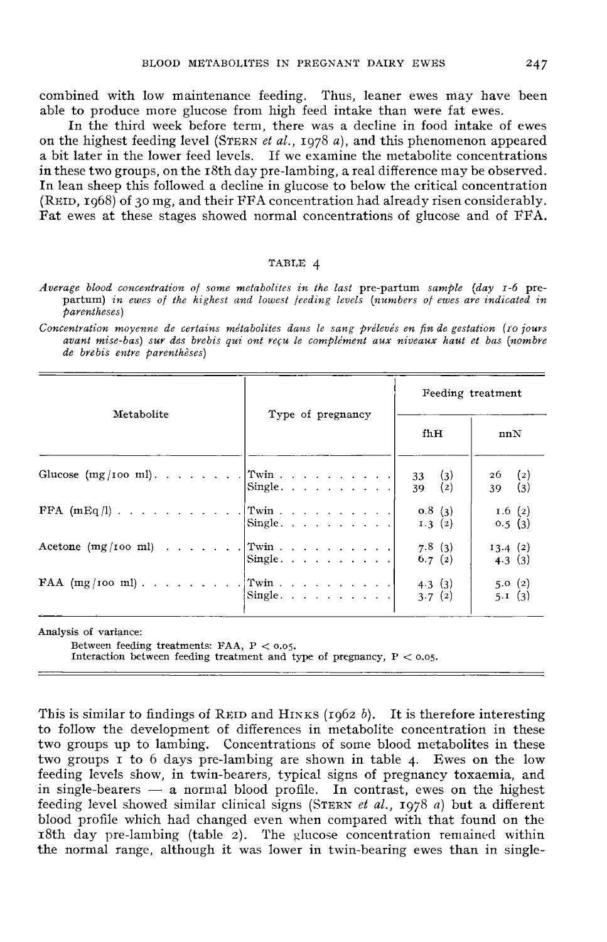combined with low maintenance feeding. Thus, leaner ewes may have been able to produce more glucose from high feed intake than were fat ewes.

In the third week before term, there was a decline in food intake of ewes on the highest feeding level (STERN *et al.*, 1978 *a*), and this phenomenon appeared a bit later in the lower feed levels. If we examine the metabolite concentrations a bit fater in the lower leed levels. If we examine the inetabolite concentrations<br>in these two groups, on the r8th day pre-lambing, a real difference may be observed.<br>The lean sheep this followed a decline in glucose to b In lean sheep this followed a decline in glucose to below the critical concentration Fat ewes at these stages showed normal concentrations of glucose and of FFA.

#### TABLE 4

Average blood concentration of some metabolites in the last pre-partum sample (day 1-6 prepartum) in ewes of the highest and lowest feeding levels (numbers of ewes are indicated in parentheses)

Concentration moyenne de certains métabolites dans le sang prélevés en fin de gestation (10 jours avant mise-bas) sur des brebis qui ont reçu le complément aux niveaux haut et bas (nombre de brebis entre parenthèses)

|                       |                                                                                         | Feeding treatment                         |  |  |
|-----------------------|-----------------------------------------------------------------------------------------|-------------------------------------------|--|--|
| Metabolite            | Type of pregnancy                                                                       | fhH<br>nnN                                |  |  |
|                       | Single.                                                                                 | 33(3)<br>$26$ (2)<br>39(2)<br>(3)<br>39 — |  |  |
|                       | $Single. \ldots \ldots \ldots$                                                          | 0.8(3)<br>1.6(2)<br>1.3(2)<br>0.5(3)      |  |  |
| Acetone $(mg/100 ml)$ | $ \text{Twin} \cdot \cdot \cdot \cdot \cdot \cdot \cdot \cdot \cdot \cdot  $<br>Single. | 7.8(3)<br>13.4(2)<br>6.7(2)<br>4.3(3)     |  |  |
|                       | $\begin{bmatrix} \text{Single.} & \ldots & \ldots & \ldots & \ldots \end{bmatrix}$      | 5.0(2)<br>4.3(3)<br>5.1(3)<br>3.7(2)      |  |  |

Analysis of variance:

Between feeding treatments: FAA,  $P < 0.05$ .

Interaction between feeding treatment and type of pregnancy,  $P < 0.05$ .

This is similar to findings of REID and HINKS (1962 b). It is therefore interesting to follow the development of differences in metabolite concentration in these two groups up to lambing. Concentrations of some blood metabolites in these two groups I to 6 days pre-lambing are shown in table 4. Ewes on the low feeding levels show, in twin-bearers, typical signs of pregnancy toxaemia, and reeding levels show, in twin-bearers, typical signs of pregnancy toxaemia, and<br>in single-bearers — a normal blood profile. In contrast, ewes on the highest<br>feeding level showed similar clinical signs (STERN *et al.*, 1978 blood profile which had changed even when compared with that found on the i8th day pre-lambing (table 2). The glucose concentration remained within the normal range, although it was lower in twin-bearing ewes than in single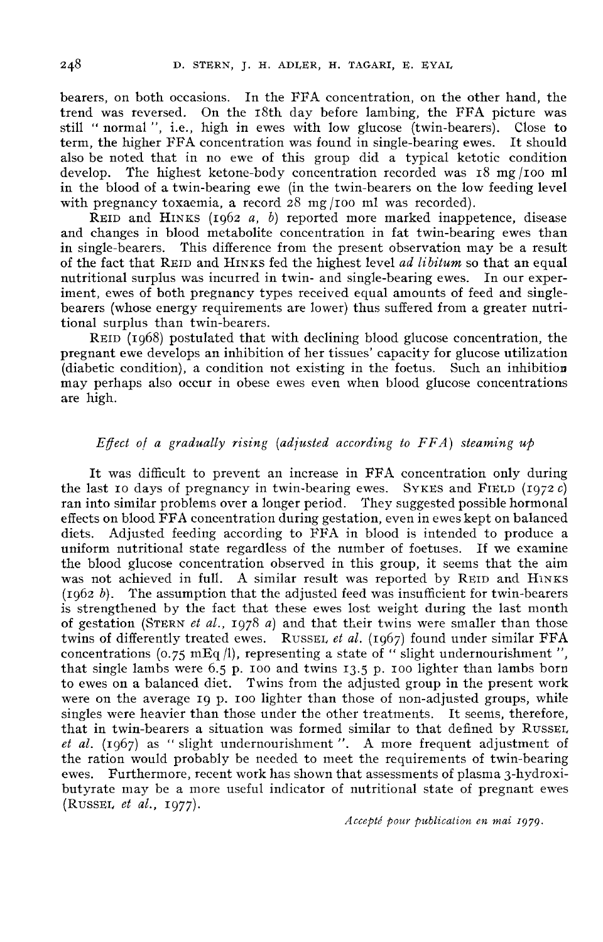bearers, on both occasions. In the FFA concentration, on the other hand, the trend was reversed. On the i8th day before lambing, the FFA picture was still "normal", i.e., high in ewes with low glucose (twin-bearers). Close to term, the higher FFA concentration was found in single-bearing ewes. It should term, the higher FFA concentration was found in single-bearing ewes. also be noted that in no ewe of this group did a typical ketotic condition<br>develop. The highest ketone-body concentration recorded was 18 mg/100 ml The highest ketone-body concentration recorded was  $18 \text{ mg} / 100 \text{ ml}$ in the blood of a twin-bearing ewe (in the twin-bearers on the low feeding level with pregnancy toxaemia, a record  $28 \text{ mg}/100 \text{ ml}$  was recorded).<br>REID and HINKS (1962 *a*, *b*) reported more marked inappetence, disease lop. The highest ketone-body concentration recorded was 18 mg/100 m<br>le blood of a twin-bearing ewe (in the twin-bearers on the low feeding level<br>pregnancy toxaemia, a record 28 mg/100 ml was recorded).<br>REID and HINKS (196

and changes in blood metabolite concentration in fat twin-bearing ewes than<br>in single-bearers. This difference from the present observation may be a result This difference from the present observation may be a result of the fact that REID and HINKS fed the highest level ad libitum so that an equal nutritional surplus was incurred in twin- and single-bearing ewes. In our experiment, ewes of both pregnancy types received equal amounts of feed and singlebearers (whose energy requirements are lower) thus suffered from a greater nutritional surplus than twin-bearers.

REID(1968) postulated that with declining blood glucose concentration, the pregnant ewe develops an inhibition of her tissues' capacity for glucose utilization (diabetic condition), a condition not existing in the foetus. Such an inhibition may perhaps also occur in obese ewes even when blood glucose concentrations are high.

### Effect of a gradually rising (adjusted according to  $FFA$ ) steaming up

It was difficult to prevent an increase in FFA concentration only during the last 10 days of pregnancy in twin-bearing ewes. SYKES and FIELD (1972 c) ran into similar problems over a longer period. They suggested possible hormonal effects on blood FFA concentration during gestation, even in ewes kept on balanced<br>diets. Adjusted feeding according to FFA in blood is intended to produce a Adjusted feeding according to FFA in blood is intended to produce a<br>a nutritional state regardless of the number of foetuses. If we examine uniform nutritional state regardless of the number of foetuses. the blood glucose concentration observed in this group, it seems that the aim diets. Adjusted feeding according to FFA in blood is intended to produce a<br>uniform nutritional state regardless of the number of foetuses. If we examine<br>the blood glucose concentration observed in this group, it seems that  $(1062 b)$ . The assumption that the adjusted feed was insufficient for twin-bearers is strengthened by the fact that these ewes lost weight during the last month the blood glucose concentration observed in this group, it seems that the aim<br>was not achieved in full. A similar result was reported by REID and HINKS<br>(1962 b). The assumption that the adjusted feed was insufficient for twins of differently treated ewes. RUSSEL *et al.* (1967) found under similar FFA concentrations (0.75 mEq  $\vert$ ), representing a state of " slight undernourishment ", that single lambs were 6.5 p. 100 and twins 13.5 p. 100 lighter than lambs born to ewes on a balanced diet. Twins from the adjusted group in the present work were on the average 19 p. 100 lighter than those of non-adjusted groups, while singles were heavier than those under the other treatments. It seems, therefore, that in twin-bearers a situation was formed similar to that defined by RUSSEL, *et al.* (1967) as "slight undernourishment ". A more frequen that in twin-bearers a situation was formed similar to that defined by RUSSEL, *et al.* (1967) as "slight undernourishment". A more frequent adjustment of the ration would probably be needed to meet the requirements of twin-bearing ewes. Furthermore, recent work has shown that assessments of plasma 3-hydroxibutyrate may be a more useful indicator of nutritional state of pregnant ewes (RussEL et al., 1977).

Accepté pour publication en mai 1979.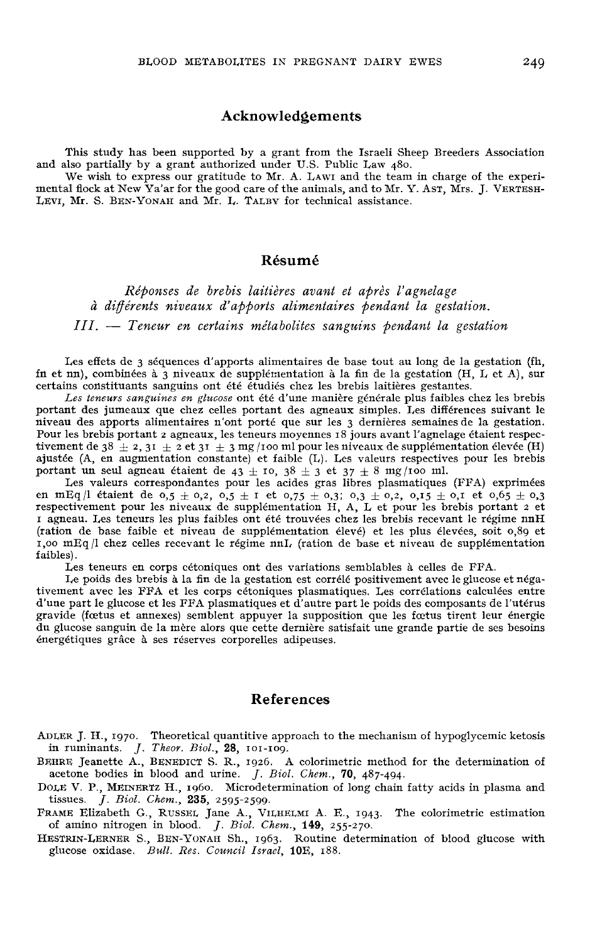### Acknowledgements

This study has been supported by a grant from the Israeli Sheep Breeders Association and also partially by a grant authorized under U.S. Public Law 480.<br>We wish to express our gratitude to Mr. A. LAWI and the team in charge of the experi-

mental flock at New Ya'ar for the good care of the animals, and t mental nock at New Ya ar for the good care of the animals, and to Mr. 1<br>LEVI, Mr. S. BEN-YONAH and Mr. L. TALBY for technical assistance. raeli Sheep Breeders Association<br>aw 480.<br>he team in charge of the experito Mr. Y. Asr, Mrs. J. VERTESH-<br>sistance.

# Résumé

Réponses de brebis laitières avant et après l'agnelage à différents niveaux d'apports alimentaires pendant la gestation.  $III. -$  Teneur en certains métabolites sanguins pendant la gestation

Les effets de 3 séquences d'apports alimentaires de base tout au long de la gestation (fh, fn et nn), combinées à 3 niveaux de supplémentation à la fin de la gestation (H, L et A), sur certains constituants sanguins ont été étudiés chez les brebis laitières gestantes.

Les teneurs sanguines en glucose ont été d'une manière générale plus faibles chez les brebis portant des jumeaux que chez celles portant des agneaux simples. Les différences suivant le Pour les brebis portant 2 agneaux, les teneurs moyennes 18 jours avant l'agnelage étaient respectivement de 38  $\pm$  2, 31  $\pm$  2 et 31  $\pm$  3 mg /100 ml pour les niveaux de supplémentation élevée (H)

ajustée (A, en augmentation constante) et faible (L). Les valeurs respectives pour les brebis<br>portant un seul agneau étaient de 43 ± 10, 38 ± 3 et 37 ± 8 mg/100 ml.<br>Les valeurs correspondantes pour les acides gras libres en mEq/l étaient de  $0.5 \pm 0.2$ ,  $0.5 \pm 1$  et  $0.75 \pm 0.3$ ;  $0.3 \pm 0.2$ ,  $0.15 \pm 0.1$  et  $0.65 \pm 0.3$ <br>respectivement pour les niveaux de supplémentation H, A, L et pour les brebis portant 2 et is agneau. Les teneurs les plus faibles ont été trouvées chez les brebis recevant le régime nnH<br>(ration de base faible et niveau de supplémentation élevé) et les plus élevées, soit 0,89 et<br>100 mHg (l chez celles recevant  $i$ ,  $i$ ,  $i$ ,  $j$  chez celles recevant le régime  $n \Pi$ , (ration de base et niveau de supplémentation faibles).

Les teneurs en corps cétoniques ont des variations semblables à celles de FFA.

Le poids des brebis à la fin de la gestation est corrélé positivement avec le glucose et négativement avec les FFA et les corps cétoniques plasmatiques. Les corrélations calculées entre d'une part le glucose et les FFA plasmatiques et d'autre part le poids des composants de l'utérus gravide (foetus et annexes) semblent appuyer la supposition que les foetus tirent leur énergie du glucose sanguin de la mère alors que cette dernière satisfait une grande partie de ses besoins énergétiques grâce à ses réserves corporelles adipeuses.

#### References

**References**<br>
ADLER J. H., 1970. Theoretical quantitive approach to the mechanism of hypoglycemic ketosis<br>
in ruminants. *J. Theor. Biol.*, 28, 101-109.<br>
BEHRE Jeanette A., BENEDICT S. R., 1926. A colorimetric method for t acetone bodies in blood and urine.  $J.$  Biol. Chem., 70, 487-494. EHRE Jeanette A., BENEDICT S. R., 1926. A colorimetric method for the determination of acetone bodies in blood and urine.  $J. Biol. Chem., 70, 487-494$ .<br>DOLE V. P., MEINERTZ H., 1960. Microdetermination of long chain fatty acids S., BENEDICT S. R., 1926. A colorimetric method for the determination of<br>
n blood and urine. *J. Biol. Chem.*, **70**, 487-494.<br>
ERTZ H., 1960. Microdetermination of long chain fatty acids in plasma and<br> *Chem.*, **235**, 2595

- tissues. J. Biol. Chem., 235, 2595-2599.<br>FRAME Elizabeth G., RUSSEL Jane A., VILHELMI A. E., 1943. The colorimetric estimation
- 
- HESTRIN-LERNER S., BEN-YONAH Sh., 1963. Routine glucose oxidase. Bull. Res. Council Israel, 10E, 188.